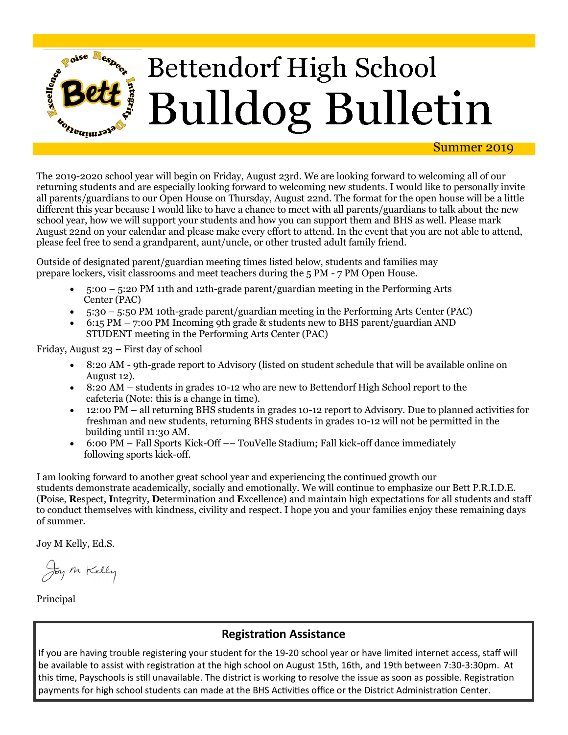

The 2019-2020 school year will begin on Friday, August 23rd. We are looking forward to welcoming all of our returning students and are especially looking forward to welcoming new students. I would like to personally invite all parents/guardians to our Open House on Thursday, August 22nd. The format for the open house will be a little different this year because I would like to have a chance to meet with all parents/guardians to talk about the new school year, how we will support your students and how you can support them and BHS as well. Please mark August 22nd on your calendar and please make every effort to attend. In the event that you are not able to attend, please feel free to send a grandparent, aunt/uncle, or other trusted adult family friend.

Outside of designated parent/guardian meeting times listed below, students and families may prepare lockers, visit classrooms and meet teachers during the 5 PM - 7 PM Open House.

- 5:00 5:20 PM 11th and 12th-grade parent/guardian meeting in the Performing Arts Center (PAC)
- 5:30 5:50 PM 10th-grade parent/guardian meeting in the Performing Arts Center (PAC)
- $\bullet$  6:15 PM 7:00 PM Incoming 9th grade & students new to BHS parent/guardian AND STUDENT meeting in the Performing Arts Center (PAC)

Friday, August 23 – First day of school

- 8:20 AM 9th-grade report to Advisory (listed on student schedule that will be available online on August 12).
- 8:20 AM students in grades 10-12 who are new to Bettendorf High School report to the cafeteria (Note: this is a change in time).
- 12:00 PM all returning BHS students in grades 10-12 report to Advisory. Due to planned activities for freshman and new students, returning BHS students in grades 10-12 will not be permitted in the building until 11:30 AM.
- 6:00 PM Fall Sports Kick-Off –– TouVelle Stadium; Fall kick-off dance immediately following sports kick-off.

I am looking forward to another great school year and experiencing the continued growth our students demonstrate academically, socially and emotionally. We will continue to emphasize our Bett P.R.I.D.E. (**P**oise, **R**espect, **I**ntegrity, **D**etermination and **E**xcellence) and maintain high expectations for all students and staff to conduct themselves with kindness, civility and respect. I hope you and your families enjoy these remaining days of summer.

Joy M Kelly, Ed.S.

Joy M Kelly

Principal

### **Registration Assistance**

If you are having trouble registering your student for the 19-20 school year or have limited internet access, staff will be available to assist with registration at the high school on August 15th, 16th, and 19th between 7:30-3:30pm. At this time, Payschools is still unavailable. The district is working to resolve the issue as soon as possible. Registration payments for high school students can made at the BHS Activities office or the District Administration Center.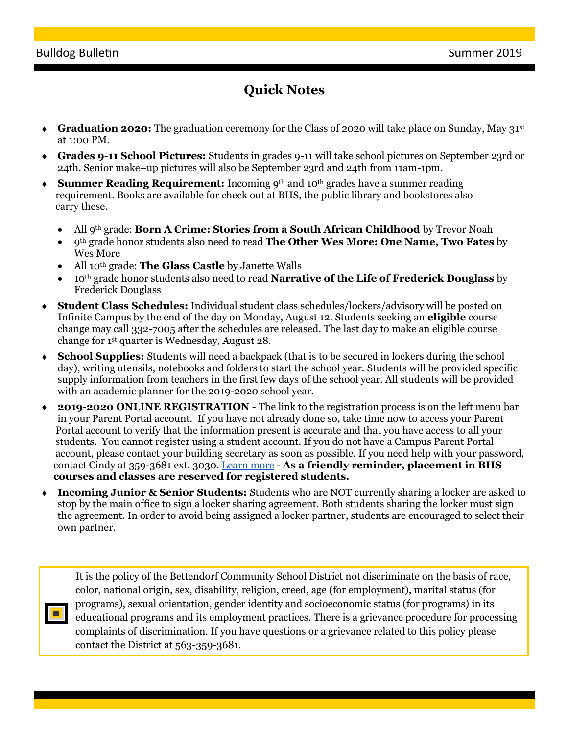$\blacksquare$ 

## **Quick Notes**

- **Graduation 2020:** The graduation ceremony for the Class of 2020 will take place on Sunday, May 31st at 1:00 PM.
- **Grades 9-11 School Pictures:** Students in grades 9-11 will take school pictures on September 23rd or 24th. Senior make–up pictures will also be September 23rd and 24th from 11am-1pm.
- **Summer Reading Requirement:** Incoming 9<sup>th</sup> and 10<sup>th</sup> grades have a summer reading requirement. Books are available for check out at BHS, the public library and bookstores also carry these.
	- All 9th grade: **Born A Crime: Stories from a South African Childhood** by Trevor Noah
	- 9th grade honor students also need to read **The Other Wes More: One Name, Two Fates** by Wes More
	- All 10th grade: **The Glass Castle** by Janette Walls
	- 10th grade honor students also need to read **Narrative of the Life of Frederick Douglass** by Frederick Douglass
- **Student Class Schedules:** Individual student class schedules/lockers/advisory will be posted on Infinite Campus by the end of the day on Monday, August 12. Students seeking an **eligible** course change may call 332-7005 after the schedules are released. The last day to make an eligible course change for 1st quarter is Wednesday, August 28.
- **School Supplies:** Students will need a backpack (that is to be secured in lockers during the school day), writing utensils, notebooks and folders to start the school year. Students will be provided specific supply information from teachers in the first few days of the school year. All students will be provided with an academic planner for the 2019-2020 school year.
- **2019-2020 ONLINE REGISTRATION -** The link to the registration process is on the left menu bar in your Parent Portal account. If you have not already done so, take time now to access your Parent Portal account to verify that the information present is accurate and that you have access to all your students. You cannot register using a student account. If you do not have a Campus Parent Portal account, please contact your building secretary as soon as possible. If you need help with your password, contact Cindy at 359-3681 ext. 3030. [Learn more](http://track.spe.schoolmessenger.com/f/a/Uz9ZqchFJeROShBxCUpyww~~/AAAAAQA~/RgRe2seeP0QzaHR0cDovL2JldHRlbmRvcmYuazEyLmlhLnVzL291ci1kaXN0cmljdC9lbnJvbGxtZW50VwdzY2hvb2xtQgoAAB6U-VzK1WweUhtqa2VsbHlAYmV0dGVuZG9yZi5rMTIuaWEudXNYBAAAAAE~) - **As a friendly reminder, placement in BHS courses and classes are reserved for registered students.**
- **Incoming Junior & Senior Students:** Students who are NOT currently sharing a locker are asked to stop by the main office to sign a locker sharing agreement. Both students sharing the locker must sign the agreement. In order to avoid being assigned a locker partner, students are encouraged to select their own partner.

It is the policy of the Bettendorf Community School District not discriminate on the basis of race, color, national origin, sex, disability, religion, creed, age (for employment), marital status (for programs), sexual orientation, gender identity and socioeconomic status (for programs) in its educational programs and its employment practices. There is a grievance procedure for processing complaints of discrimination. If you have questions or a grievance related to this policy please contact the District at 563-359-3681.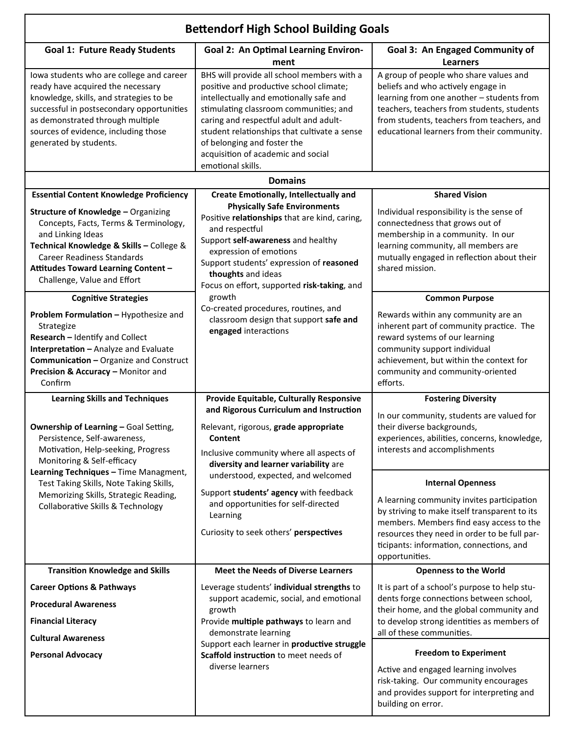| <b>Bettendorf High School Building Goals</b>                                                                                                                                                                                                                                                                                                                           |                                                                                                                                                                                                                                                                                                                                                                |                                                                                                                                                                                                                                                                                                                                                                                                     |
|------------------------------------------------------------------------------------------------------------------------------------------------------------------------------------------------------------------------------------------------------------------------------------------------------------------------------------------------------------------------|----------------------------------------------------------------------------------------------------------------------------------------------------------------------------------------------------------------------------------------------------------------------------------------------------------------------------------------------------------------|-----------------------------------------------------------------------------------------------------------------------------------------------------------------------------------------------------------------------------------------------------------------------------------------------------------------------------------------------------------------------------------------------------|
| <b>Goal 1: Future Ready Students</b>                                                                                                                                                                                                                                                                                                                                   | <b>Goal 2: An Optimal Learning Environ-</b><br>ment                                                                                                                                                                                                                                                                                                            | Goal 3: An Engaged Community of<br><b>Learners</b>                                                                                                                                                                                                                                                                                                                                                  |
| lowa students who are college and career<br>ready have acquired the necessary<br>knowledge, skills, and strategies to be<br>successful in postsecondary opportunities<br>as demonstrated through multiple<br>sources of evidence, including those<br>generated by students.                                                                                            | BHS will provide all school members with a<br>positive and productive school climate;<br>intellectually and emotionally safe and<br>stimulating classroom communities; and<br>caring and respectful adult and adult-<br>student relationships that cultivate a sense<br>of belonging and foster the<br>acquisition of academic and social<br>emotional skills. | A group of people who share values and<br>beliefs and who actively engage in<br>learning from one another - students from<br>teachers, teachers from students, students<br>from students, teachers from teachers, and<br>educational learners from their community.                                                                                                                                 |
|                                                                                                                                                                                                                                                                                                                                                                        | <b>Domains</b>                                                                                                                                                                                                                                                                                                                                                 |                                                                                                                                                                                                                                                                                                                                                                                                     |
| <b>Essential Content Knowledge Proficiency</b><br>Structure of Knowledge - Organizing<br>Concepts, Facts, Terms & Terminology,<br>and Linking Ideas<br>Technical Knowledge & Skills - College &<br><b>Career Readiness Standards</b><br>Attitudes Toward Learning Content -<br>Challenge, Value and Effort                                                             | <b>Create Emotionally, Intellectually and</b><br><b>Physically Safe Environments</b><br>Positive relationships that are kind, caring,<br>and respectful<br>Support self-awareness and healthy<br>expression of emotions<br>Support students' expression of reasoned<br>thoughts and ideas                                                                      | <b>Shared Vision</b><br>Individual responsibility is the sense of<br>connectedness that grows out of<br>membership in a community. In our<br>learning community, all members are<br>mutually engaged in reflection about their<br>shared mission.                                                                                                                                                   |
| <b>Cognitive Strategies</b><br>Problem Formulation - Hypothesize and<br>Strategize<br>Research - Identify and Collect<br>Interpretation - Analyze and Evaluate<br>Communication - Organize and Construct<br>Precision & Accuracy - Monitor and<br>Confirm                                                                                                              | Focus on effort, supported risk-taking, and<br>growth<br>Co-created procedures, routines, and<br>classroom design that support safe and<br>engaged interactions                                                                                                                                                                                                | <b>Common Purpose</b><br>Rewards within any community are an<br>inherent part of community practice. The<br>reward systems of our learning<br>community support individual<br>achievement, but within the context for<br>community and community-oriented<br>efforts.                                                                                                                               |
| <b>Learning Skills and Techniques</b><br><b>Ownership of Learning - Goal Setting,</b><br>Persistence, Self-awareness,<br>Motivation, Help-seeking, Progress<br>Monitoring & Self-efficacy<br>Learning Techniques - Time Managment,<br>Test Taking Skills, Note Taking Skills,<br>Memorizing Skills, Strategic Reading,<br><b>Collaborative Skills &amp; Technology</b> | Provide Equitable, Culturally Responsive<br>and Rigorous Curriculum and Instruction<br>Relevant, rigorous, grade appropriate<br>Content<br>Inclusive community where all aspects of<br>diversity and learner variability are                                                                                                                                   | <b>Fostering Diversity</b><br>In our community, students are valued for<br>their diverse backgrounds,<br>experiences, abilities, concerns, knowledge,<br>interests and accomplishments                                                                                                                                                                                                              |
|                                                                                                                                                                                                                                                                                                                                                                        | understood, expected, and welcomed<br>Support students' agency with feedback<br>and opportunities for self-directed<br>Learning<br>Curiosity to seek others' perspectives                                                                                                                                                                                      | <b>Internal Openness</b><br>A learning community invites participation<br>by striving to make itself transparent to its<br>members. Members find easy access to the<br>resources they need in order to be full par-<br>ticipants: information, connections, and<br>opportunities.                                                                                                                   |
| <b>Transition Knowledge and Skills</b>                                                                                                                                                                                                                                                                                                                                 | <b>Meet the Needs of Diverse Learners</b>                                                                                                                                                                                                                                                                                                                      | <b>Openness to the World</b>                                                                                                                                                                                                                                                                                                                                                                        |
| <b>Career Options &amp; Pathways</b><br><b>Procedural Awareness</b><br><b>Financial Literacy</b><br><b>Cultural Awareness</b><br><b>Personal Advocacy</b>                                                                                                                                                                                                              | Leverage students' individual strengths to<br>support academic, social, and emotional<br>growth<br>Provide multiple pathways to learn and<br>demonstrate learning<br>Support each learner in productive struggle<br>Scaffold instruction to meet needs of<br>diverse learners                                                                                  | It is part of a school's purpose to help stu-<br>dents forge connections between school,<br>their home, and the global community and<br>to develop strong identities as members of<br>all of these communities.<br><b>Freedom to Experiment</b><br>Active and engaged learning involves<br>risk-taking. Our community encourages<br>and provides support for interpreting and<br>building on error. |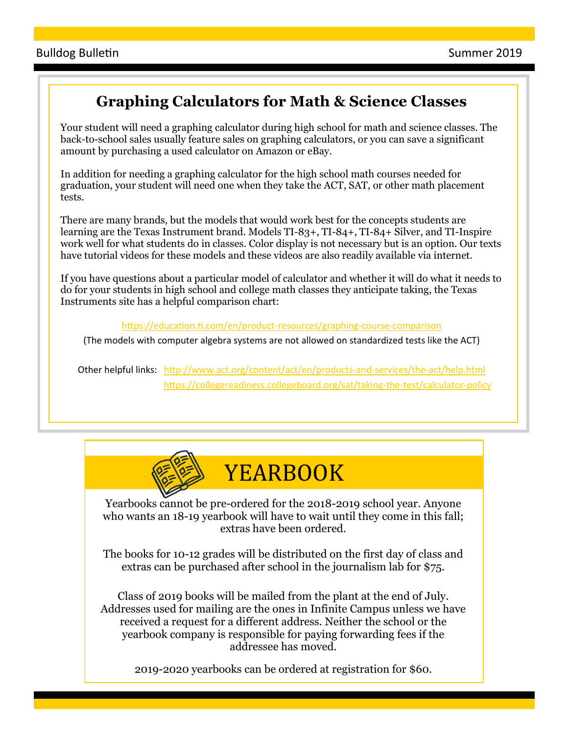## **Graphing Calculators for Math & Science Classes**

Your student will need a graphing calculator during high school for math and science classes. The back-to-school sales usually feature sales on graphing calculators, or you can save a significant amount by purchasing a used calculator on Amazon or eBay.

In addition for needing a graphing calculator for the high school math courses needed for graduation, your student will need one when they take the ACT, SAT, or other math placement tests.

There are many brands, but the models that would work best for the concepts students are learning are the Texas Instrument brand. Models TI-83+, TI-84+, TI-84+ Silver, and TI-Inspire work well for what students do in classes. Color display is not necessary but is an option. Our texts have tutorial videos for these models and these videos are also readily available via internet.

If you have questions about a particular model of calculator and whether it will do what it needs to do for your students in high school and college math classes they anticipate taking, the Texas Instruments site has a helpful comparison chart:

[https://education.ti.com/en/product](https://education.ti.com/en/product-resources/graphing-course-comparison)-resources/graphing-course-comparison

(The models with computer algebra systems are not allowed on standardized tests like the ACT)

Other helpful links: [http://www.act.org/content/act/en/products](http://www.act.org/content/act/en/products-and-services/the-act/help.html)-and-services/the-act/help.html [https://collegereadiness.collegeboard.org/sat/taking](https://collegereadiness.collegeboard.org/sat/taking-the-test/calculator-policy)-the-test/calculator-policy



# YEARBOOK

Yearbooks cannot be pre-ordered for the 2018-2019 school year. Anyone who wants an 18-19 yearbook will have to wait until they come in this fall; extras have been ordered.

The books for 10-12 grades will be distributed on the first day of class and extras can be purchased after school in the journalism lab for \$75.

Class of 2019 books will be mailed from the plant at the end of July. Addresses used for mailing are the ones in Infinite Campus unless we have received a request for a different address. Neither the school or the yearbook company is responsible for paying forwarding fees if the addressee has moved.

2019-2020 yearbooks can be ordered at registration for \$60.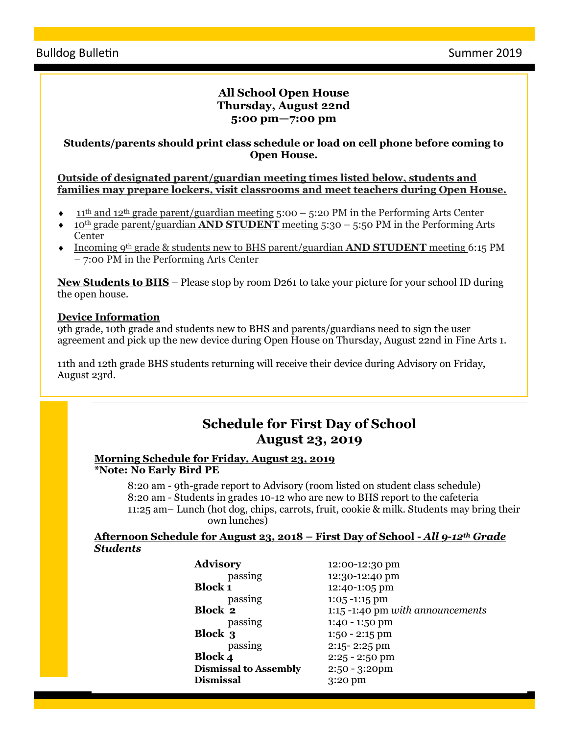#### **All School Open House Thursday, August 22nd 5:00 pm—7:00 pm**

#### **Students/parents should print class schedule or load on cell phone before coming to Open House.**

**Outside of designated parent/guardian meeting times listed below, students and families may prepare lockers, visit classrooms and meet teachers during Open House.**

- 11th and 12th grade parent/guardian meeting 5:00 5:20 PM in the Performing Arts Center
- 10th grade parent/guardian **AND STUDENT** meeting 5:30 5:50 PM in the Performing Arts **Center**
- Incoming 9th grade & students new to BHS parent/guardian **AND STUDENT** meeting 6:15 PM – 7:00 PM in the Performing Arts Center

**New Students to BHS** – Please stop by room D261 to take your picture for your school ID during the open house.

#### **Device Information**

9th grade, 10th grade and students new to BHS and parents/guardians need to sign the user agreement and pick up the new device during Open House on Thursday, August 22nd in Fine Arts 1.

11th and 12th grade BHS students returning will receive their device during Advisory on Friday, August 23rd.

## **Schedule for First Day of School August 23, 2019**

#### **Morning Schedule for Friday, August 23, 2019 \*Note: No Early Bird PE**

8:20 am - 9th-grade report to Advisory (room listed on student class schedule) 8:20 am - Students in grades 10-12 who are new to BHS report to the cafeteria 11:25 am– Lunch (hot dog, chips, carrots, fruit, cookie & milk. Students may bring their own lunches)

#### **Afternoon Schedule for August 23, 2018 – First Day of School -** *All 9-12th Grade Students*

| <b>Advisory</b>              | 12:00-12:30 pm                   |
|------------------------------|----------------------------------|
| passing                      | 12:30-12:40 pm                   |
| <b>Block 1</b>               | 12:40-1:05 pm                    |
| passing                      | $1:05 - 1:15$ pm                 |
| <b>Block 2</b>               | 1:15 -1:40 pm with announcements |
| passing                      | $1:40 - 1:50$ pm                 |
| <b>Block 3</b>               | $1:50 - 2:15$ pm                 |
| passing                      | $2:15 - 2:25$ pm                 |
| <b>Block 4</b>               | $2:25 - 2:50$ pm                 |
| <b>Dismissal to Assembly</b> | $2:50 - 3:20$ pm                 |
| <b>Dismissal</b>             | $3:20$ pm                        |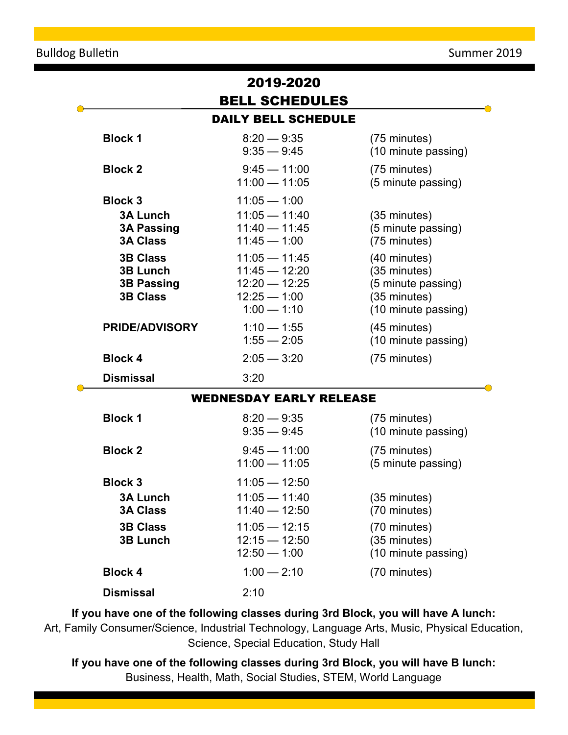|                                                                                                                                                                                                    | 2019-2020                                                                                                                                                                                                             |                                                                                                                                                                                                                  |
|----------------------------------------------------------------------------------------------------------------------------------------------------------------------------------------------------|-----------------------------------------------------------------------------------------------------------------------------------------------------------------------------------------------------------------------|------------------------------------------------------------------------------------------------------------------------------------------------------------------------------------------------------------------|
| <b>BELL SCHEDULES</b>                                                                                                                                                                              |                                                                                                                                                                                                                       |                                                                                                                                                                                                                  |
|                                                                                                                                                                                                    | <b>DAILY BELL SCHEDULE</b>                                                                                                                                                                                            |                                                                                                                                                                                                                  |
| <b>Block 1</b>                                                                                                                                                                                     | $8:20 - 9:35$<br>$9:35 - 9:45$                                                                                                                                                                                        | (75 minutes)<br>(10 minute passing)                                                                                                                                                                              |
| <b>Block 2</b>                                                                                                                                                                                     | $9:45 - 11:00$<br>$11:00 - 11:05$                                                                                                                                                                                     | (75 minutes)<br>(5 minute passing)                                                                                                                                                                               |
| <b>Block 3</b><br><b>3A Lunch</b><br><b>3A Passing</b><br><b>3A Class</b><br><b>3B Class</b><br><b>3B Lunch</b><br><b>3B Passing</b><br><b>3B Class</b><br><b>PRIDE/ADVISORY</b><br><b>Block 4</b> | $11:05 - 1:00$<br>$11:05 - 11:40$<br>$11:40 - 11:45$<br>$11:45 - 1:00$<br>$11:05 - 11:45$<br>$11:45 - 12:20$<br>$12:20 - 12:25$<br>$12:25 - 1:00$<br>$1:00 - 1:10$<br>$1:10 - 1:55$<br>$1:55 - 2:05$<br>$2:05 - 3:20$ | $(35 \text{ minutes})$<br>(5 minute passing)<br>(75 minutes)<br>(40 minutes)<br>(35 minutes)<br>(5 minute passing)<br>(35 minutes)<br>(10 minute passing)<br>(45 minutes)<br>(10 minute passing)<br>(75 minutes) |
| <b>Dismissal</b>                                                                                                                                                                                   | 3:20                                                                                                                                                                                                                  |                                                                                                                                                                                                                  |
| <b>WEDNESDAY EARLY RELEASE</b>                                                                                                                                                                     |                                                                                                                                                                                                                       |                                                                                                                                                                                                                  |
| <b>Block 1</b>                                                                                                                                                                                     | $8:20 - 9:35$<br>$9:35 - 9:45$                                                                                                                                                                                        | (75 minutes)<br>(10 minute passing)                                                                                                                                                                              |
| <b>Block 2</b>                                                                                                                                                                                     | $9:45 - 11:00$<br>$11:00 - 11:05$                                                                                                                                                                                     | (75 minutes)<br>(5 minute passing)                                                                                                                                                                               |
| <b>Block 3</b><br><b>3A Lunch</b><br><b>3A Class</b>                                                                                                                                               | $11:05 - 12:50$<br>$11:05 - 11:40$<br>$11:40 - 12:50$                                                                                                                                                                 | (35 minutes)<br>(70 minutes)                                                                                                                                                                                     |
| <b>3B Class</b><br><b>3B Lunch</b>                                                                                                                                                                 | $11:05 - 12:15$<br>$12:15 - 12:50$<br>$12:50 - 1:00$                                                                                                                                                                  | (70 minutes)<br>(35 minutes)<br>(10 minute passing)                                                                                                                                                              |
| <b>Block 4</b>                                                                                                                                                                                     | $1:00 - 2:10$                                                                                                                                                                                                         | (70 minutes)                                                                                                                                                                                                     |
| <b>Dismissal</b>                                                                                                                                                                                   | 2:10                                                                                                                                                                                                                  |                                                                                                                                                                                                                  |

**If you have one of the following classes during 3rd Block, you will have A lunch:** Art, Family Consumer/Science, Industrial Technology, Language Arts, Music, Physical Education, Science, Special Education, Study Hall

**If you have one of the following classes during 3rd Block, you will have B lunch:** Business, Health, Math, Social Studies, STEM, World Language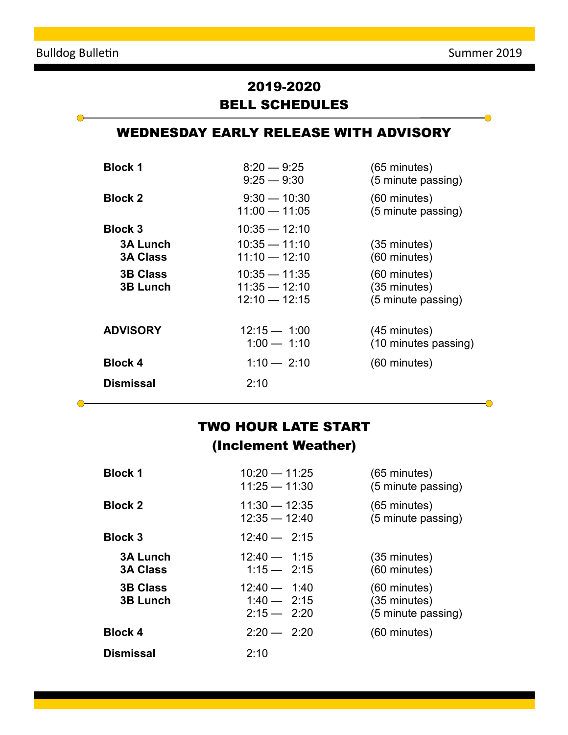$\bullet$ 

 $\bigcirc$ 

 $\overline{\bullet}$ 

 $\bullet$ 

## 2019-2020 BELL SCHEDULES

## WEDNESDAY EARLY RELEASE WITH ADVISORY

| <b>Block 1</b>                     | $8:20 - 9:25$<br>$9:25 - 9:30$                        | $(65$ minutes)<br>(5 minute passing)               |
|------------------------------------|-------------------------------------------------------|----------------------------------------------------|
| <b>Block 2</b>                     | $9:30 - 10:30$<br>$11:00 - 11:05$                     | (60 minutes)<br>(5 minute passing)                 |
| <b>Block 3</b>                     | $10:35 - 12:10$                                       |                                                    |
| <b>3A Lunch</b><br><b>3A Class</b> | $10:35 - 11:10$<br>$11:10 - 12:10$                    | $(35 \text{ minutes})$<br>(60 minutes)             |
| <b>3B Class</b><br><b>3B Lunch</b> | $10:35 - 11:35$<br>$11:35 - 12:10$<br>$12:10 - 12:15$ | (60 minutes)<br>(35 minutes)<br>(5 minute passing) |
| <b>ADVISORY</b>                    | $12:15 - 1:00$<br>$1:00 - 1:10$                       | $(45 \text{ minutes})$<br>(10 minutes passing)     |
| <b>Block 4</b>                     | $1:10 - 2:10$                                         | (60 minutes)                                       |
| Dismissal                          | 2:10                                                  |                                                    |

## TWO HOUR LATE START (Inclement Weather)

| <b>Block 1</b>                     | $10:20 - 11:25$<br>$11:25 - 11:30$               | $(65$ minutes)<br>(5 minute passing)                 |
|------------------------------------|--------------------------------------------------|------------------------------------------------------|
| <b>Block 2</b>                     | $11:30 - 12:35$<br>$12:35 - 12:40$               | $(65$ minutes)<br>(5 minute passing)                 |
| <b>Block 3</b>                     | $12:40 - 2:15$                                   |                                                      |
| <b>3A Lunch</b><br><b>3A Class</b> | $12:40 - 1:15$<br>$1:15 - 2:15$                  | $(35 \text{ minutes})$<br>(60 minutes)               |
| <b>3B Class</b><br><b>3B Lunch</b> | $12:40 - 1:40$<br>$1.40 - 2.15$<br>$2:15 - 2:20$ | $(60$ minutes)<br>(35 minutes)<br>(5 minute passing) |
| <b>Block 4</b>                     | $2:20 - 2:20$                                    | $(60$ minutes)                                       |
| <b>Dismissal</b>                   | 2:10                                             |                                                      |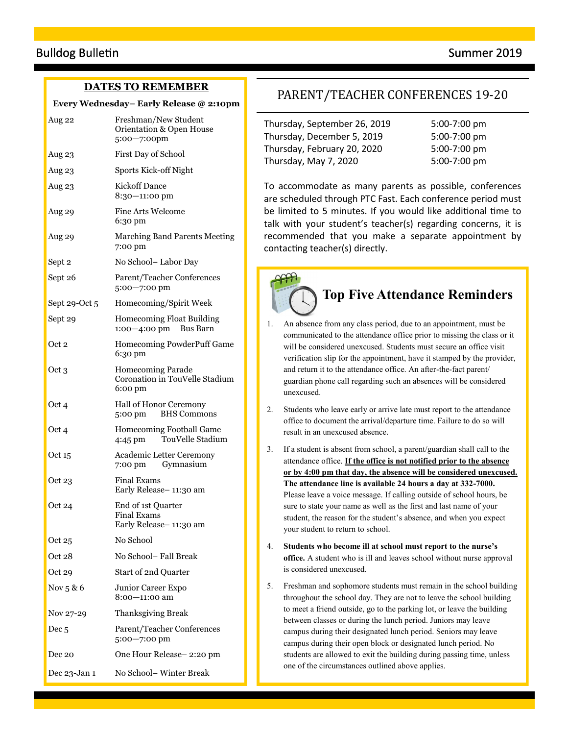#### **DATES TO REMEMBER**

#### **Every Wednesday– Early Release @ 2:10pm**

| Aug 22           | Freshman/New Student<br>Orientation & Open House<br>5:00-7:00pm       |  |
|------------------|-----------------------------------------------------------------------|--|
| Aug 23           | First Day of School                                                   |  |
| Aug 23           | Sports Kick-off Night                                                 |  |
| Aug 23           | <b>Kickoff Dance</b><br>8:30-11:00 pm                                 |  |
| Aug 29           | <b>Fine Arts Welcome</b><br>6:30 pm                                   |  |
| Aug 29           | <b>Marching Band Parents Meeting</b><br>7:00 pm                       |  |
| Sept 2           | No School-Labor Day                                                   |  |
| Sept 26          | Parent/Teacher Conferences<br>5:00-7:00 pm                            |  |
| Sept 29-Oct 5    | Homecoming/Spirit Week                                                |  |
| Sept 29          | <b>Homecoming Float Building</b><br>$1:00-4:00$ pm Bus Barn           |  |
| Oct 2            | Homecoming PowderPuff Game<br>6:30 pm                                 |  |
| Oct 3            | <b>Homecoming Parade</b><br>Coronation in TouVelle Stadium<br>6:00 pm |  |
| Oct 4            | Hall of Honor Ceremony<br><b>BHS Commons</b><br>5:00 pm               |  |
| Oct 4            | Homecoming Football Game<br>TouVelle Stadium<br>4:45 pm               |  |
| Oct 15           | <b>Academic Letter Ceremony</b><br>7:00 pm Gymnasium                  |  |
| Oct 23           | <b>Final Exams</b><br>Early Release-11:30 am                          |  |
| Oct 24           | End of 1st Quarter<br><b>Final Exams</b><br>Early Release-11:30 am    |  |
| Oct 25           | No School                                                             |  |
| Oct 28           | No School-Fall Break                                                  |  |
| Oct 29           | Start of 2nd Quarter                                                  |  |
| Nov $5 & 6$      | Junior Career Expo<br>8:00—11:00 am                                   |  |
| Nov 27-29        | Thanksgiving Break                                                    |  |
| Dec <sub>5</sub> | Parent/Teacher Conferences<br>$5:00 - 7:00$ pm                        |  |
| Dec 20           | One Hour Release-2:20 pm                                              |  |
| Dec 23-Jan 1     | No School-Winter Break                                                |  |

#### PARENT/TEACHER CONFERENCES 19-20

Thursday, September 26, 2019 5:00-7:00 pm Thursday, December 5, 2019 5:00-7:00 pm Thursday, February 20, 2020 5:00-7:00 pm Thursday, May 7, 2020 5:00-7:00 pm

To accommodate as many parents as possible, conferences are scheduled through PTC Fast. Each conference period must be limited to 5 minutes. If you would like additional time to talk with your student's teacher(s) regarding concerns, it is recommended that you make a separate appointment by contacting teacher(s) directly.

## **Top Five Attendance Reminders**

- 1. An absence from any class period, due to an appointment, must be communicated to the attendance office prior to missing the class or it will be considered unexcused. Students must secure an office visit verification slip for the appointment, have it stamped by the provider, and return it to the attendance office. An after-the-fact parent/ guardian phone call regarding such an absences will be considered unexcused.
- 2. Students who leave early or arrive late must report to the attendance office to document the arrival/departure time. Failure to do so will result in an unexcused absence.
- 3. If a student is absent from school, a parent/guardian shall call to the attendance office. **If the office is not notified prior to the absence or by 4:00 pm that day, the absence will be considered unexcused. The attendance line is available 24 hours a day at 332-7000.**  Please leave a voice message. If calling outside of school hours, be sure to state your name as well as the first and last name of your student, the reason for the student's absence, and when you expect your student to return to school.
- 4. **Students who become ill at school must report to the nurse's office.** A student who is ill and leaves school without nurse approval is considered unexcused.
- 5. Freshman and sophomore students must remain in the school building throughout the school day. They are not to leave the school building to meet a friend outside, go to the parking lot, or leave the building between classes or during the lunch period. Juniors may leave campus during their designated lunch period. Seniors may leave campus during their open block or designated lunch period. No students are allowed to exit the building during passing time, unless one of the circumstances outlined above applies.